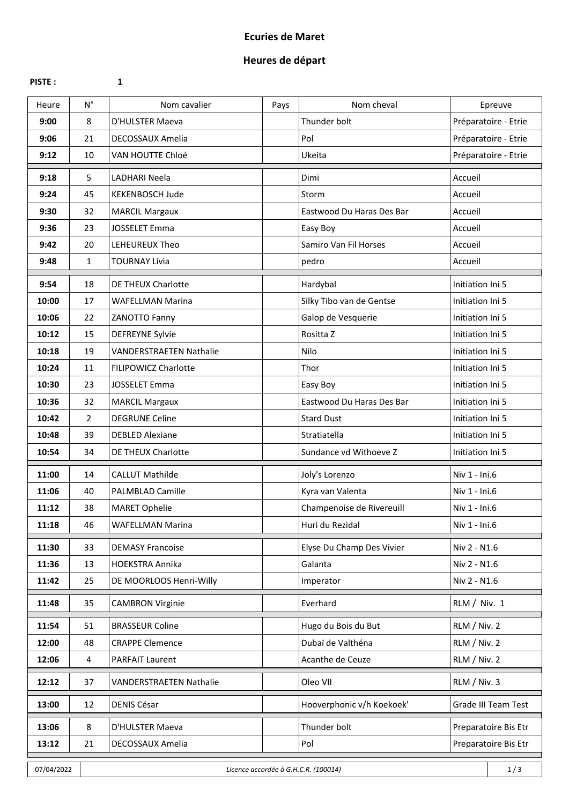### **Ecuries de Maret**

# **Heures de départ**

**PISTE :**

**1**

| Thunder bolt<br>9:00<br>8<br>D'HULSTER Maeva<br>Pol<br>9:06<br>21<br>DECOSSAUX Amelia | Préparatoire - Etrie<br>Préparatoire - Etrie |  |
|---------------------------------------------------------------------------------------|----------------------------------------------|--|
|                                                                                       |                                              |  |
|                                                                                       |                                              |  |
| 9:12<br>10<br>VAN HOUTTE Chloé<br>Ukeita                                              | Préparatoire - Etrie                         |  |
| 5<br>LADHARI Neela<br>Dimi<br>9:18                                                    | Accueil                                      |  |
| 9:24<br>45<br><b>KEKENBOSCH Jude</b><br>Storm                                         | Accueil                                      |  |
| 9:30<br>32<br>Eastwood Du Haras Des Bar<br><b>MARCIL Margaux</b>                      | Accueil                                      |  |
| 9:36<br>23<br><b>JOSSELET Emma</b><br>Easy Boy                                        | Accueil                                      |  |
| 9:42<br>LEHEUREUX Theo<br>Samiro Van Fil Horses<br>20                                 | Accueil                                      |  |
| pedro<br>9:48<br>1<br><b>TOURNAY Livia</b>                                            | Accueil                                      |  |
| Hardybal<br>DE THEUX Charlotte<br>9:54<br>18                                          | Initiation Ini 5                             |  |
| Silky Tibo van de Gentse<br>10:00<br>17<br><b>WAFELLMAN Marina</b>                    | Initiation Ini 5                             |  |
| Galop de Vesquerie<br>10:06<br>22<br>ZANOTTO Fanny                                    | Initiation Ini 5                             |  |
| Rositta Z<br><b>DEFREYNE Sylvie</b><br>10:12<br>15                                    | Initiation Ini 5                             |  |
| <b>VANDERSTRAETEN Nathalie</b><br>Nilo<br>10:18<br>19                                 | Initiation Ini 5                             |  |
| Thor<br>10:24<br>11<br><b>FILIPOWICZ Charlotte</b>                                    | Initiation Ini 5                             |  |
| 10:30<br>23<br><b>JOSSELET Emma</b><br>Easy Boy                                       | Initiation Ini 5                             |  |
| Eastwood Du Haras Des Bar<br>10:36<br>32<br><b>MARCIL Margaux</b>                     | Initiation Ini 5                             |  |
| $\overline{2}$<br><b>DEGRUNE Celine</b><br>10:42<br><b>Stard Dust</b>                 | Initiation Ini 5                             |  |
| 39<br><b>DEBLED Alexiane</b><br>Stratiatella<br>10:48                                 | Initiation Ini 5                             |  |
| Sundance vd Withoeve Z<br>10:54<br>34<br>DE THEUX Charlotte                           | Initiation Ini 5                             |  |
| 11:00<br>14<br><b>CALLUT Mathilde</b><br>Joly's Lorenzo                               | Niv 1 - Ini.6                                |  |
| 40<br><b>PALMBLAD Camille</b><br>Kyra van Valenta<br>11:06                            | Niv 1 - Ini.6                                |  |
| <b>MARET Ophelie</b><br>Champenoise de Rivereuill<br>11:12<br>38                      | Niv 1 - Ini.6                                |  |
| 11:18<br>Huri du Rezidal<br><b>WAFELLMAN Marina</b><br>46                             | Niv 1 - Ini.6                                |  |
| Elyse Du Champ Des Vivier<br>11:30<br>33<br><b>DEMASY Francoise</b>                   | Niv 2 - N1.6                                 |  |
| Galanta<br>11:36<br>13<br>HOEKSTRA Annika                                             | Niv 2 - N1.6                                 |  |
| 11:42<br>25<br>DE MOORLOOS Henri-Willy<br>Imperator                                   | Niv 2 - N1.6                                 |  |
| Everhard<br>11:48<br>35<br><b>CAMBRON Virginie</b>                                    | RLM / Niv. 1                                 |  |
| <b>BRASSEUR Coline</b><br>Hugo du Bois du But<br>11:54<br>51                          | RLM / Niv. 2                                 |  |
| 12:00<br>48<br><b>CRAPPE Clemence</b><br>Dubaï de Valthéna                            | RLM / Niv. 2                                 |  |
| 12:06<br>Acanthe de Ceuze<br>4<br><b>PARFAIT Laurent</b>                              | RLM / Niv. 2                                 |  |
| Oleo VII<br>12:12<br>37<br><b>VANDERSTRAETEN Nathalie</b>                             | RLM / Niv. 3                                 |  |
| <b>DENIS César</b><br>Hooverphonic v/h Koekoek'<br>13:00<br>12                        | <b>Grade III Team Test</b>                   |  |
| Thunder bolt<br>13:06<br>8<br>D'HULSTER Maeva                                         | Preparatoire Bis Etr                         |  |
| 13:12<br>21<br>Pol<br>DECOSSAUX Amelia                                                | Preparatoire Bis Etr                         |  |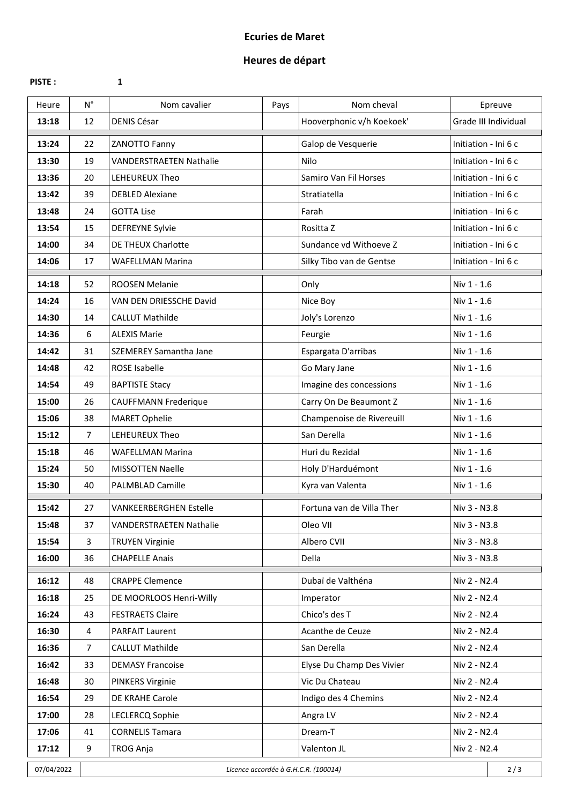## **Ecuries de Maret**

# **Heures de départ**

**PISTE :**

**1**

| Heure      | $\mathsf{N}^\circ$ | Nom cavalier                                | Pays | Nom cheval                | Epreuve              |  |  |
|------------|--------------------|---------------------------------------------|------|---------------------------|----------------------|--|--|
| 13:18      | 12                 | <b>DENIS César</b>                          |      | Hooverphonic v/h Koekoek' | Grade III Individual |  |  |
| 13:24      | 22                 | ZANOTTO Fanny                               |      | Galop de Vesquerie        | Initiation - Ini 6 c |  |  |
| 13:30      | 19                 | <b>VANDERSTRAETEN Nathalie</b>              |      | Nilo                      | Initiation - Ini 6 c |  |  |
| 13:36      | 20                 | LEHEUREUX Theo                              |      | Samiro Van Fil Horses     | Initiation - Ini 6 c |  |  |
| 13:42      | 39                 | <b>DEBLED Alexiane</b>                      |      | Stratiatella              | Initiation - Ini 6 c |  |  |
| 13:48      | 24                 | <b>GOTTA Lise</b>                           |      | Farah                     | Initiation - Ini 6 c |  |  |
| 13:54      | 15                 | DEFREYNE Sylvie                             |      | Rositta Z                 | Initiation - Ini 6 c |  |  |
| 14:00      | 34                 | DE THEUX Charlotte                          |      | Sundance vd Withoeve Z    | Initiation - Ini 6 c |  |  |
| 14:06      | 17                 | <b>WAFELLMAN Marina</b>                     |      | Silky Tibo van de Gentse  | Initiation - Ini 6 c |  |  |
| 14:18      | 52                 | ROOSEN Melanie                              |      | Only                      | Niv 1 - 1.6          |  |  |
| 14:24      | 16                 | VAN DEN DRIESSCHE David                     |      | Nice Boy                  | Niv 1 - 1.6          |  |  |
| 14:30      | 14                 | <b>CALLUT Mathilde</b>                      |      | Joly's Lorenzo            | Niv 1 - 1.6          |  |  |
| 14:36      | 6                  | <b>ALEXIS Marie</b>                         |      | Feurgie                   | Niv 1 - 1.6          |  |  |
| 14:42      | 31                 | <b>SZEMEREY Samantha Jane</b>               |      | Espargata D'arribas       | Niv 1 - 1.6          |  |  |
| 14:48      | 42                 | <b>ROSE Isabelle</b>                        |      | Go Mary Jane              | Niv 1 - 1.6          |  |  |
| 14:54      | 49                 | <b>BAPTISTE Stacy</b>                       |      | Imagine des concessions   | Niv 1 - 1.6          |  |  |
| 15:00      | 26                 | <b>CAUFFMANN Frederique</b>                 |      | Carry On De Beaumont Z    | Niv 1 - 1.6          |  |  |
| 15:06      | 38                 | <b>MARET Ophelie</b>                        |      | Champenoise de Rivereuill | Niv 1 - 1.6          |  |  |
| 15:12      | $\overline{7}$     | LEHEUREUX Theo                              |      | San Derella               | Niv 1 - 1.6          |  |  |
| 15:18      | 46                 | <b>WAFELLMAN Marina</b>                     |      | Huri du Rezidal           | Niv 1 - 1.6          |  |  |
| 15:24      | 50                 | <b>MISSOTTEN Naelle</b>                     |      | Holy D'Harduémont         | Niv 1 - 1.6          |  |  |
| 15:30      | 40                 | <b>PALMBLAD Camille</b>                     |      | Kyra van Valenta          | Niv 1 - 1.6          |  |  |
| 15:42      | 27                 | <b>VANKEERBERGHEN Estelle</b>               |      | Fortuna van de Villa Ther | Niv 3 - N3.8         |  |  |
| 15:48      | 37                 | <b>VANDERSTRAETEN Nathalie</b>              |      | Oleo VII                  | Niv 3 - N3.8         |  |  |
| 15:54      | $\mathbf{3}$       | <b>TRUYEN Virginie</b>                      |      | Albero CVII               | Niv 3 - N3.8         |  |  |
| 16:00      | 36                 | <b>CHAPELLE Anais</b>                       |      | Della                     | Niv 3 - N3.8         |  |  |
| 16:12      | 48                 | <b>CRAPPE Clemence</b>                      |      | Dubaï de Valthéna         | Niv 2 - N2.4         |  |  |
| 16:18      | 25                 | DE MOORLOOS Henri-Willy                     |      | Imperator                 | Niv 2 - N2.4         |  |  |
| 16:24      | 43                 | <b>FESTRAETS Claire</b>                     |      | Chico's des T             | Niv 2 - N2.4         |  |  |
| 16:30      | 4                  | <b>PARFAIT Laurent</b>                      |      | Acanthe de Ceuze          | Niv 2 - N2.4         |  |  |
| 16:36      | $\overline{7}$     | <b>CALLUT Mathilde</b>                      |      | San Derella               | Niv 2 - N2.4         |  |  |
| 16:42      | 33                 | <b>DEMASY Francoise</b>                     |      | Elyse Du Champ Des Vivier | Niv 2 - N2.4         |  |  |
| 16:48      | 30                 | <b>PINKERS Virginie</b>                     |      | Vic Du Chateau            | Niv 2 - N2.4         |  |  |
| 16:54      | 29                 | DE KRAHE Carole                             |      | Indigo des 4 Chemins      | Niv 2 - N2.4         |  |  |
| 17:00      | 28                 | LECLERCQ Sophie                             |      | Angra LV                  | Niv 2 - N2.4         |  |  |
| 17:06      | 41                 | <b>CORNELIS Tamara</b>                      |      | Dream-T                   | Niv 2 - N2.4         |  |  |
| 17:12      | 9                  | TROG Anja                                   |      | Valenton JL               | Niv 2 - N2.4         |  |  |
| 07/04/2022 |                    | Licence accordée à G.H.C.R. (100014)<br>2/3 |      |                           |                      |  |  |